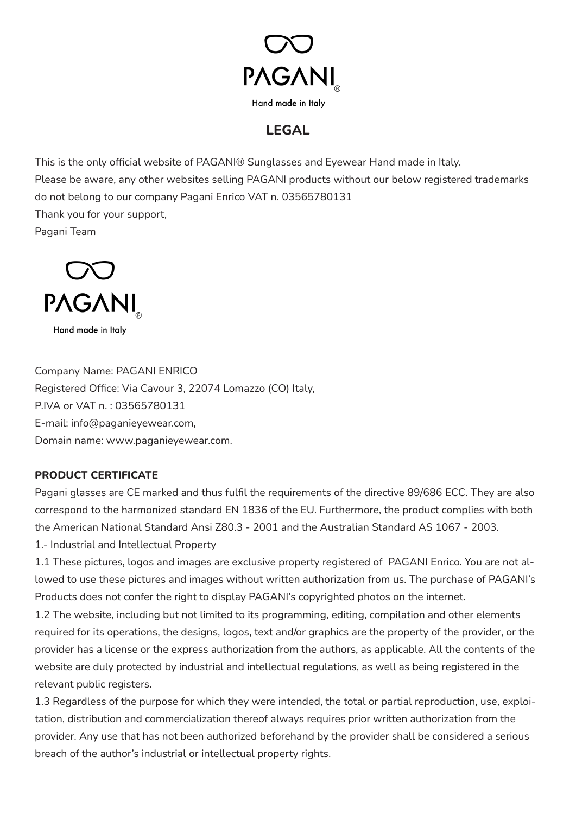

## **LEGAL**

This is the only official website of PAGANI® Sunglasses and Eyewear Hand made in Italy. Please be aware, any other websites selling PAGANI products without our below registered trademarks do not belong to our company Pagani Enrico VAT n. 03565780131 Thank you for your support, Pagani Team



Hand made in Italy

Company Name: PAGANI ENRICO Registered Office: Via Cavour 3, 22074 Lomazzo (CO) Italy, P.IVA or VAT n. : 03565780131 E-mail: info@paganieyewear.com, Domain name: www.paganieyewear.com.

## **PRODUCT CERTIFICATE**

Pagani glasses are CE marked and thus fulfil the requirements of the directive 89/686 ECC. They are also correspond to the harmonized standard EN 1836 of the EU. Furthermore, the product complies with both the American National Standard Ansi Z80.3 - 2001 and the Australian Standard AS 1067 - 2003. 1.- Industrial and Intellectual Property

1.1 These pictures, logos and images are exclusive property registered of PAGANI Enrico. You are not allowed to use these pictures and images without written authorization from us. The purchase of PAGANI's Products does not confer the right to display PAGANI's copyrighted photos on the internet.

1.2 The website, including but not limited to its programming, editing, compilation and other elements required for its operations, the designs, logos, text and/or graphics are the property of the provider, or the provider has a license or the express authorization from the authors, as applicable. All the contents of the website are duly protected by industrial and intellectual regulations, as well as being registered in the relevant public registers.

1.3 Regardless of the purpose for which they were intended, the total or partial reproduction, use, exploitation, distribution and commercialization thereof always requires prior written authorization from the provider. Any use that has not been authorized beforehand by the provider shall be considered a serious breach of the author's industrial or intellectual property rights.